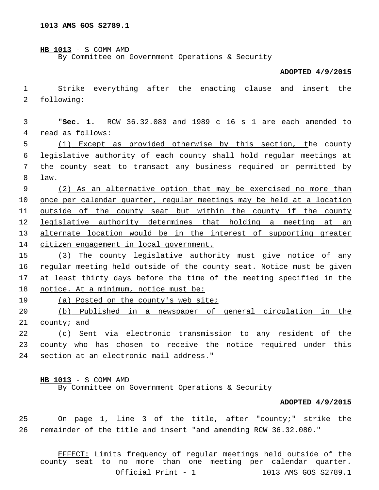| $HB 1013 - S COMM AMD$ |  |                                                  |  |  |
|------------------------|--|--------------------------------------------------|--|--|
|                        |  | By Committee on Government Operations & Security |  |  |

## **ADOPTED 4/9/2015**

1 Strike everything after the enacting clause and insert the 2 following:

| 3  | RCW 36.32.080 and 1989 c 16 s 1 are each amended to<br>"Sec. $1.$     |
|----|-----------------------------------------------------------------------|
| 4  | read as follows:                                                      |
| 5  | Except as provided otherwise by this section, the county<br>(1)       |
| 6  | legislative authority of each county shall hold regular meetings at   |
| 7  | the county seat to transact any business required or permitted by     |
| 8  | law.                                                                  |
| 9  | (2) As an alternative option that may be exercised no more than       |
| 10 | once per calendar quarter, regular meetings may be held at a location |
| 11 | outside of the county seat but within the county if the county        |
| 12 | legislative authority determines that holding a<br>meeting at an      |
| 13 | alternate location would be in the interest of supporting greater     |
| 14 | citizen engagement in local government.                               |
| 15 | The county legislative authority must give notice of any<br>(3)       |
| 16 | regular meeting held outside of the county seat. Notice must be given |
| 17 | at least thirty days before the time of the meeting specified in the  |
| 18 | notice. At a minimum, notice must be:                                 |
| 19 | (a) Posted on the county's web site;                                  |
| 20 | (b) Published in a newspaper of general circulation in<br>the         |
| 21 | county; and                                                           |
| 22 | Sent via electronic transmission to any resident of<br>the<br>(C)     |
| 23 | county who has chosen to receive the notice required under this       |

24 section at an electronic mail address."

**HB 1013** - S COMM AMD

By Committee on Government Operations & Security

## **ADOPTED 4/9/2015**

25 On page 1, line 3 of the title, after "county;" strike the 26 remainder of the title and insert "and amending RCW 36.32.080."

EFFECT: Limits frequency of regular meetings held outside of the county seat to no more than one meeting per calendar quarter. Official Print - 1 1013 AMS GOS S2789.1